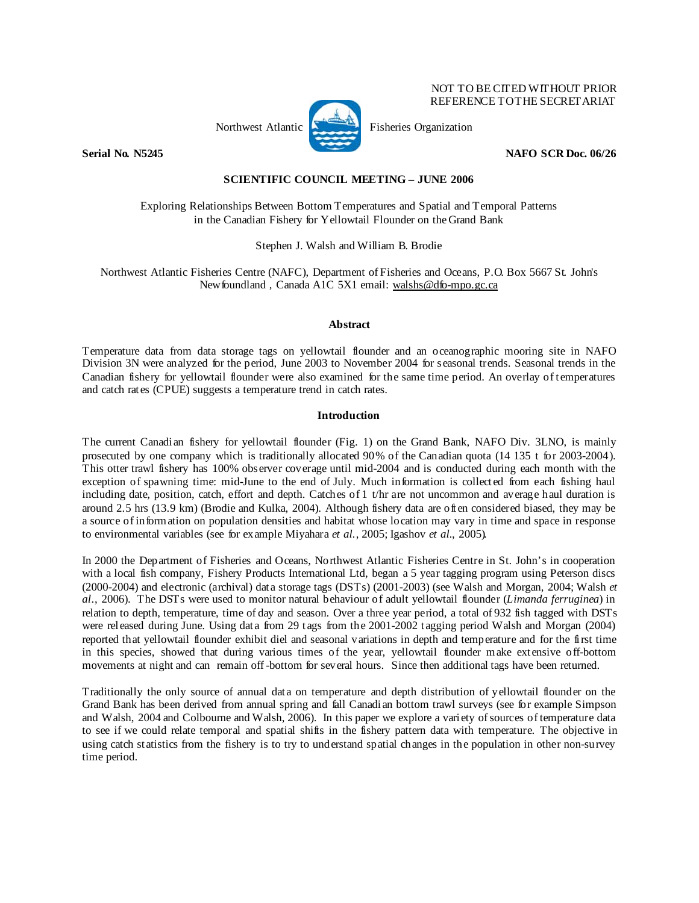

NOT TO BE CITED WITHOUT PRIOR REFERENCE TO THE SECRETARIAT

**Serial No. N5245 NAFO SCR Doc. 06/26** 

# **SCIENTIFIC COUNCIL MEETING – JUNE 2006**

Exploring Relationships Between Bottom Temperatures and Spatial and Temporal Patterns in the Canadian Fishery for Yellowtail Flounder on the Grand Bank

Stephen J. Walsh and William B. Brodie

Northwest Atlantic Fisheries Centre (NAFC), Department of Fisheries and Oceans, P.O. Box 5667 St. John's Newfoundland , Canada A1C 5X1 email: walshs@dfo-mpo.gc.ca

### **Abstract**

Temperature data from data storage tags on yellowtail flounder and an oceanographic mooring site in NAFO Division 3N were analyzed for the period, June 2003 to November 2004 for seasonal trends. Seasonal trends in the Canadian fishery for yellowtail flounder were also examined for the same time period. An overlay of temperatures and catch rates (CPUE) suggests a temperature trend in catch rates.

### **Introduction**

The current Canadian fishery for yellowtail flounder (Fig. 1) on the Grand Bank, NAFO Div. 3LNO, is mainly prosecuted by one company which is traditionally allocated 90% of the Canadian quota (14 135 t for 2003-2004). This otter trawl fishery has 100% observer coverage until mid-2004 and is conducted during each month with the exception of spawning time: mid-June to the end of July. Much information is collected from each fishing haul including date, position, catch, effort and depth. Catches of 1 t/hr are not uncommon and average haul duration is around 2.5 hrs (13.9 km) (Brodie and Kulka, 2004). Although fishery data are often considered biased, they may be a source of information on population densities and habitat whose location may vary in time and space in response to environmental variables (see for example Miyahara *et al.*, 2005; Igashov *et al.*, 2005).

In 2000 the Department of Fisheries and Oceans, Northwest Atlantic Fisheries Centre in St. John's in cooperation with a local fish company, Fishery Products International Ltd, began a 5 year tagging program using Peterson discs (2000-2004) and electronic (archival) data storage tags (DSTs) (2001-2003) (see Walsh and Morgan, 2004; Walsh *et al*., 2006). The DSTs were used to monitor natural behaviour of adult yellowtail flounder (*Limanda ferruginea*) in relation to depth, temperature, time of day and season. Over a three year period, a total of 932 fish tagged with DSTs were released during June. Using data from 29 tags from the 2001-2002 tagging period Walsh and Morgan (2004) reported that yellowtail flounder exhibit diel and seasonal variations in depth and temperature and for the first time in this species, showed that during various times of the year, yellowtail flounder make extensive off-bottom movements at night and can remain off -bottom for several hours. Since then additional tags have been returned.

Traditionally the only source of annual data on temperature and depth distribution of yellowtail flounder on the Grand Bank has been derived from annual spring and fall Canadian bottom trawl surveys (see for example Simpson and Walsh, 2004 and Colbourne and Walsh, 2006). In this paper we explore a variety of sources of temperature data to see if we could relate temporal and spatial shifts in the fishery pattern data with temperature. The objective in using catch statistics from the fishery is to try to understand spatial changes in the population in other non-survey time period.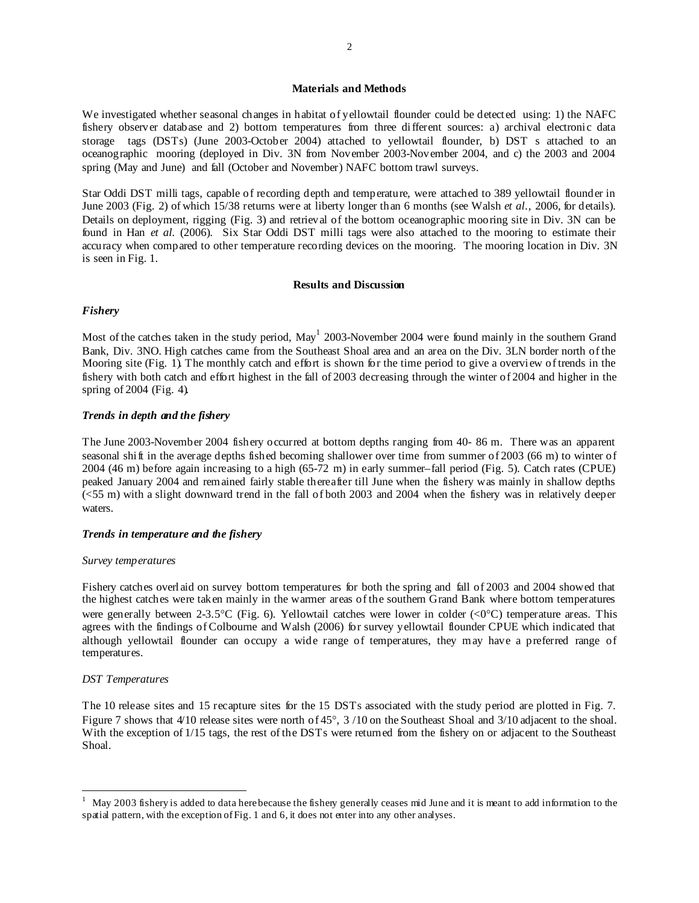### **Materials and Methods**

We investigated whether seasonal changes in habitat of yellowtail flounder could be detected using: 1) the NAFC fishery observer database and 2) bottom temperatures from three different sources: a) archival electronic data storage tags (DSTs) (June 2003-October 2004) attached to yellowtail flounder, b) DST s attached to an oceanographic mooring (deployed in Div. 3N from November 2003-November 2004, and c) the 2003 and 2004 spring (May and June) and fall (October and November) NAFC bottom trawl surveys.

Star Oddi DST milli tags, capable of recording depth and temperature, were attached to 389 yellowtail flounder in June 2003 (Fig. 2) of which 15/38 returns were at liberty longer than 6 months (see Walsh *et al*., 2006, for details). Details on deployment, rigging (Fig. 3) and retrieval of the bottom oceanographic mooring site in Div. 3N can be found in Han *et al.* (2006). Six Star Oddi DST milli tags were also attached to the mooring to estimate their accuracy when compared to other temperature recording devices on the mooring. The mooring location in Div. 3N is seen in Fig. 1.

#### **Results and Discussion**

### *Fishery*

Most of the catches taken in the study period, May<sup>1</sup> 2003-November 2004 were found mainly in the southern Grand Bank, Div. 3NO. High catches came from the Southeast Shoal area and an area on the Div. 3LN border north of the Mooring site (Fig. 1). The monthly catch and effort is shown for the time period to give a overview of trends in the fishery with both catch and effort highest in the fall of 2003 decreasing through the winter of 2004 and higher in the spring of 2004 (Fig. 4).

## *Trends in depth and the fishery*

The June 2003-November 2004 fishery occurred at bottom depths ranging from 40- 86 m. There was an apparent seasonal shift in the average depths fished becoming shallower over time from summer of 2003 (66 m) to winter of 2004 (46 m) before again increasing to a high (65-72 m) in early summer–fall period (Fig. 5). Catch rates (CPUE) peaked January 2004 and remained fairly stable thereafter till June when the fishery was mainly in shallow depths (<55 m) with a slight downward trend in the fall of both 2003 and 2004 when the fishery was in relatively deeper waters.

#### *Trends in temperature and the fishery*

#### *Survey temperatures*

Fishery catches overlaid on survey bottom temperatures for both the spring and fall of 2003 and 2004 showed that the highest catches were taken mainly in the warmer areas of the southern Grand Bank where bottom temperatures were generally between 2-3.5°C (Fig. 6). Yellowtail catches were lower in colder (<0°C) temperature areas. This agrees with the findings of Colbourne and Walsh (2006) for survey yellowtail flounder CPUE which indicated that although yellowtail flounder can occupy a wide range of temperatures, they may have a preferred range of temperatures.

### *DST Temperatures*

j

The 10 release sites and 15 recapture sites for the 15 DSTs associated with the study period are plotted in Fig. 7. Figure 7 shows that 4/10 release sites were north of 45°, 3 /10 on the Southeast Shoal and 3/10 adjacent to the shoal. With the exception of 1/15 tags, the rest of the DSTs were returned from the fishery on or adjacent to the Southeast Shoal.

<sup>1</sup> May 2003 fishery is added to data here because the fishery generally ceases mid June and it is meant to add information to the spatial pattern, with the exception of Fig. 1 and 6, it does not enter into any other analyses.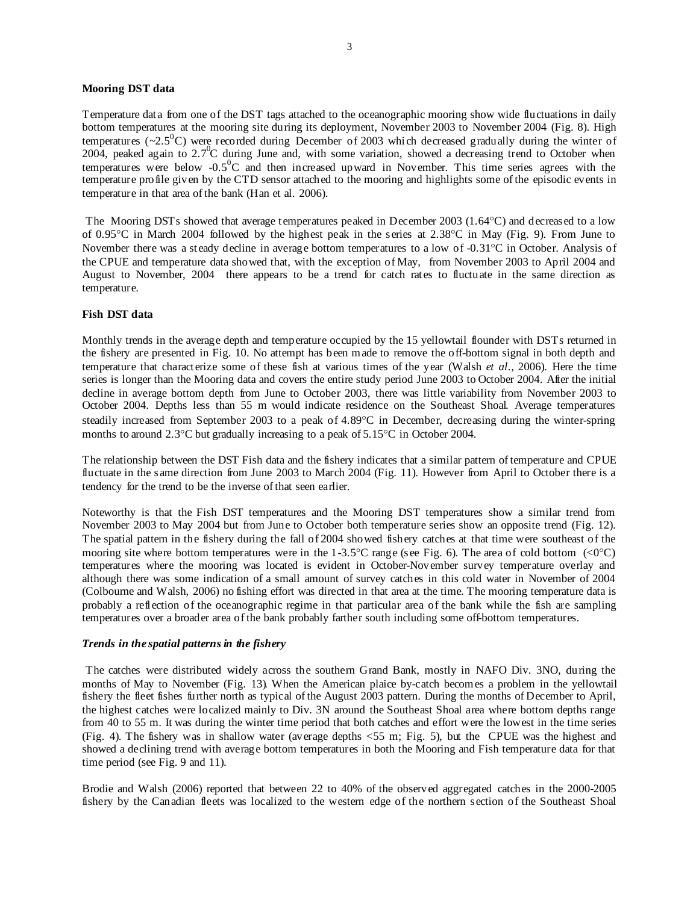## **Mooring DST data**

Temperature data from one of the DST tags attached to the oceanographic mooring show wide fluctuations in daily bottom temperatures at the mooring site during its deployment, November 2003 to November 2004 (Fig. 8). High temperatures ( $\sim$ 2.5<sup>0</sup>C) were recorded during December of 2003 which decreased gradually during the winter of 2004, peaked again to  $2.7^{\circ}$ C during June and, with some variation, showed a decreasing trend to October when temperatures were below  $-0.5^0C$  and then increased upward in November. This time series agrees with the temperature profile given by the CTD sensor attached to the mooring and highlights some of the episodic events in temperature in that area of the bank (Han et al. 2006).

 The Mooring DSTs showed that average temperatures peaked in December 2003 (1.64°C) and decreased to a low of 0.95°C in March 2004 followed by the highest peak in the series at 2.38°C in May (Fig. 9). From June to November there was a steady decline in average bottom temperatures to a low of -0.31°C in October. Analysis of the CPUE and temperature data showed that, with the exception of May, from November 2003 to April 2004 and August to November, 2004 there appears to be a trend for catch rates to fluctuate in the same direction as temperature.

## **Fish DST data**

Monthly trends in the average depth and temperature occupied by the 15 yellowtail flounder with DSTs returned in the fishery are presented in Fig. 10. No attempt has been made to remove the off-bottom signal in both depth and temperature that characterize some of these fish at various times of the year (Walsh *et al*., 2006). Here the time series is longer than the Mooring data and covers the entire study period June 2003 to October 2004. After the initial decline in average bottom depth from June to October 2003, there was little variability from November 2003 to October 2004. Depths less than 55 m would indicate residence on the Southeast Shoal. Average temperatures steadily increased from September 2003 to a peak of 4.89°C in December, decreasing during the winter-spring months to around 2.3°C but gradually increasing to a peak of 5.15°C in October 2004.

The relationship between the DST Fish data and the fishery indicates that a similar pattern of temperature and CPUE fluctuate in the same direction from June 2003 to March 2004 (Fig. 11). However from April to October there is a tendency for the trend to be the inverse of that seen earlier.

Noteworthy is that the Fish DST temperatures and the Mooring DST temperatures show a similar trend from November 2003 to May 2004 but from June to October both temperature series show an opposite trend (Fig. 12). The spatial pattern in the fishery during the fall of 2004 showed fishery catches at that time were southeast of the mooring site where bottom temperatures were in the 1-3.5°C range (see Fig. 6). The area of cold bottom  $\langle \langle 0^{\circ} C \rangle$ temperatures where the mooring was located is evident in October-November survey temperature overlay and although there was some indication of a small amount of survey catches in this cold water in November of 2004 (Colbourne and Walsh, 2006) no fishing effort was directed in that area at the time. The mooring temperature data is probably a reflection of the oceanographic regime in that particular area of the bank while the fish are sampling temperatures over a broader area of the bank probably farther south including some off-bottom temperatures.

#### *Trends in the spatial patterns in the fishery*

 The catches were distributed widely across the southern Grand Bank, mostly in NAFO Div. 3NO, during the months of May to November (Fig. 13). When the American plaice by-catch becomes a problem in the yellowtail fishery the fleet fishes further north as typical of the August 2003 pattern. During the months of December to April, the highest catches were localized mainly to Div. 3N around the Southeast Shoal area where bottom depths range from 40 to 55 m. It was during the winter time period that both catches and effort were the lowest in the time series (Fig. 4). The fishery was in shallow water (average depths <55 m; Fig. 5), but the CPUE was the highest and showed a declining trend with average bottom temperatures in both the Mooring and Fish temperature data for that time period (see Fig. 9 and 11).

Brodie and Walsh (2006) reported that between 22 to 40% of the observed aggregated catches in the 2000-2005 fishery by the Canadian fleets was localized to the western edge of the northern section of the Southeast Shoal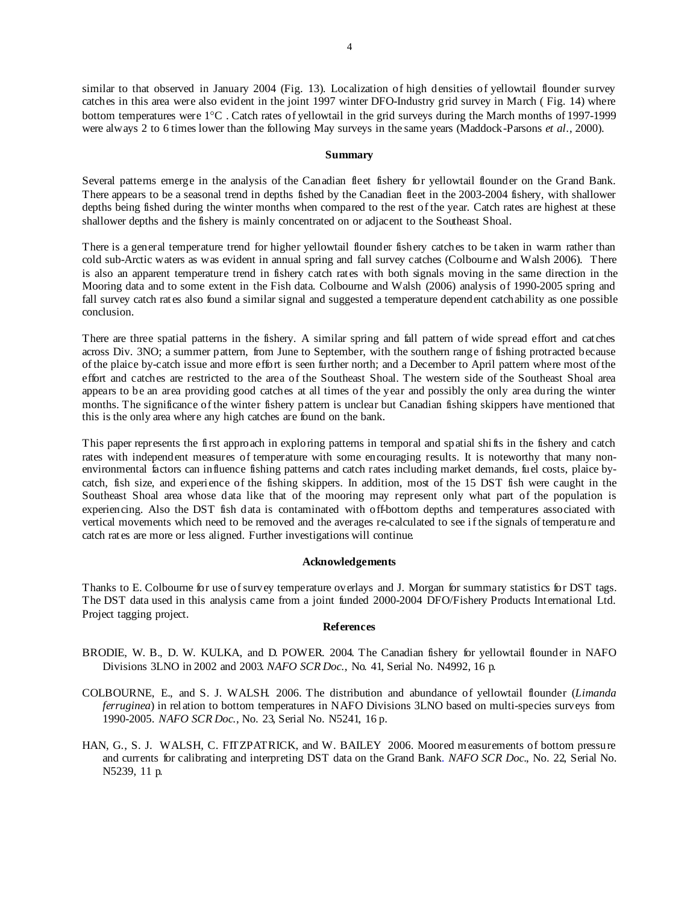similar to that observed in January 2004 (Fig. 13). Localization of high densities of yellowtail flounder survey catches in this area were also evident in the joint 1997 winter DFO-Industry grid survey in March ( Fig. 14) where bottom temperatures were 1°C . Catch rates of yellowtail in the grid surveys during the March months of 1997-1999 were always 2 to 6 times lower than the following May surveys in the same years (Maddock-Parsons *et al*., 2000).

#### **Summary**

Several patterns emerge in the analysis of the Canadian fleet fishery for yellowtail flounder on the Grand Bank. There appears to be a seasonal trend in depths fished by the Canadian fleet in the 2003-2004 fishery, with shallower depths being fished during the winter months when compared to the rest of the year. Catch rates are highest at these shallower depths and the fishery is mainly concentrated on or adjacent to the Southeast Shoal.

There is a general temperature trend for higher yellowtail flounder fishery catches to be taken in warm rather than cold sub-Arctic waters as was evident in annual spring and fall survey catches (Colbourne and Walsh 2006). There is also an apparent temperature trend in fishery catch rates with both signals moving in the same direction in the Mooring data and to some extent in the Fish data. Colbourne and Walsh (2006) analysis of 1990-2005 spring and fall survey catch rates also found a similar signal and suggested a temperature dependent catchability as one possible conclusion.

There are three spatial patterns in the fishery. A similar spring and fall pattern of wide spread effort and catches across Div. 3NO; a summer pattern, from June to September, with the southern range of fishing protracted because of the plaice by-catch issue and more effort is seen further north; and a December to April pattern where most of the effort and catches are restricted to the area of the Southeast Shoal. The western side of the Southeast Shoal area appears to be an area providing good catches at all times of the year and possibly the only area during the winter months. The significance of the winter fishery pattern is unclear but Canadian fishing skippers have mentioned that this is the only area where any high catches are found on the bank.

This paper represents the first approach in exploring patterns in temporal and spatial shifts in the fishery and catch rates with independent measures of temperature with some encouraging results. It is noteworthy that many nonenvironmental factors can influence fishing patterns and catch rates including market demands, fuel costs, plaice bycatch, fish size, and experience of the fishing skippers. In addition, most of the 15 DST fish were caught in the Southeast Shoal area whose data like that of the mooring may represent only what part of the population is experiencing. Also the DST fish data is contaminated with off-bottom depths and temperatures associated with vertical movements which need to be removed and the averages re-calculated to see if the signals of temperature and catch rates are more or less aligned. Further investigations will continue.

#### **Acknowledgements**

Thanks to E. Colbourne for use of survey temperature overlays and J. Morgan for summary statistics for DST tags. The DST data used in this analysis came from a joint funded 2000-2004 DFO/Fishery Products International Ltd. Project tagging project.

## **References**

- BRODIE, W. B., D. W. KULKA, and D. POWER. 2004. The Canadian fishery for yellowtail flounder in NAFO Divisions 3LNO in 2002 and 2003. *NAFO SCR Doc*., No. 41, Serial No. N4992, 16 p.
- COLBOURNE, E., and S. J. WALSH. 2006. The distribution and abundance of yellowtail flounder (*Limanda ferruginea*) in relation to bottom temperatures in NAFO Divisions 3LNO based on multi-species surveys from 1990-2005. *NAFO SCR Doc*., No. 23, Serial No. N5241, 16 p.
- HAN, G., S. J. WALSH, C. FITZPATRICK, and W. BAILEY 2006. Moored measurements of bottom pressure and currents for calibrating and interpreting DST data on the Grand Bank. *NAFO SCR Doc*., No. 22, Serial No. N5239, 11 p.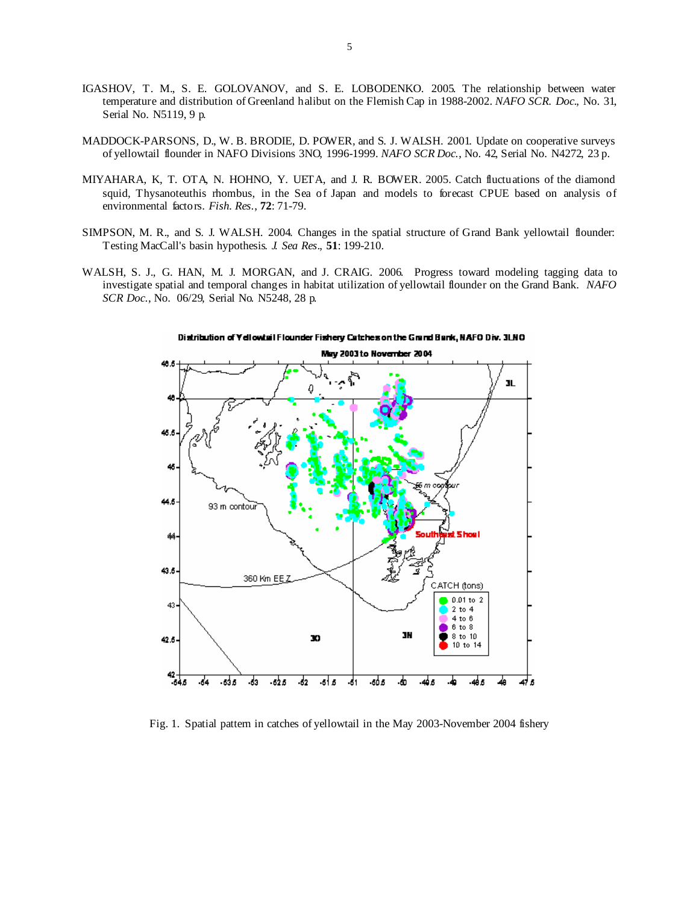- IGASHOV, T. M., S. E. GOLOVANOV, and S. E. LOBODENKO. 2005. The relationship between water temperature and distribution of Greenland halibut on the Flemish Cap in 1988-2002. *NAFO SCR. Doc*., No. 31, Serial No. N5119, 9 p.
- MADDOCK-PARSONS, D., W. B. BRODIE, D. POWER, and S. J. WALSH. 2001. Update on cooperative surveys of yellowtail flounder in NAFO Divisions 3NO, 1996-1999. *NAFO SCR Doc*., No. 42, Serial No. N4272, 23 p.
- MIYAHARA, K, T. OTA, N. HOHNO, Y. UETA, and J. R. BOWER. 2005. Catch fluctuations of the diamond squid, Thysanoteuthis rhombus, in the Sea of Japan and models to forecast CPUE based on analysis of environmental factors. *Fish. Res*., **72**: 71-79.
- SIMPSON, M. R., and S. J. WALSH. 2004. Changes in the spatial structure of Grand Bank yellowtail flounder: Testing MacCall's basin hypothesis. *J. Sea Res*., **51**: 199-210.
- WALSH, S. J., G. HAN, M. J. MORGAN, and J. CRAIG. 2006. Progress toward modeling tagging data to investigate spatial and temporal changes in habitat utilization of yellowtail flounder on the Grand Bank. *NAFO SCR Doc*., No. 06/29, Serial No. N5248, 28 p.



Distribution of Yellowisil Flounder Fishery Catches on the Grand Bank, NAFO Div. 3LNO

Fig. 1. Spatial pattern in catches of yellowtail in the May 2003-November 2004 fishery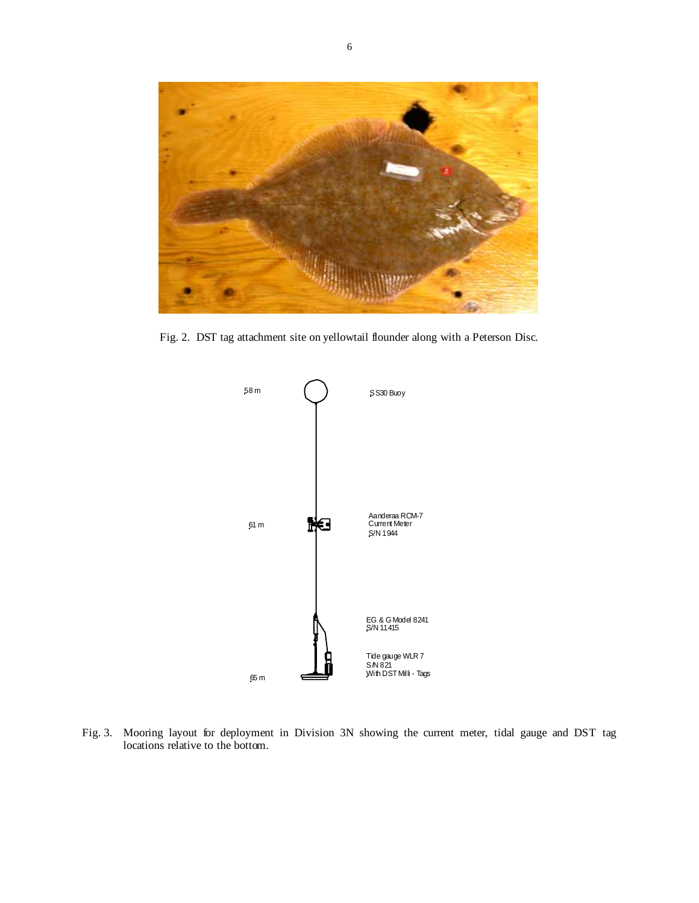

Fig. 2. DST tag attachment site on yellowtail flounder along with a Peterson Disc.



Fig. 3. Mooring layout for deployment in Division 3N showing the current meter, tidal gauge and DST tag locations relative to the bottom.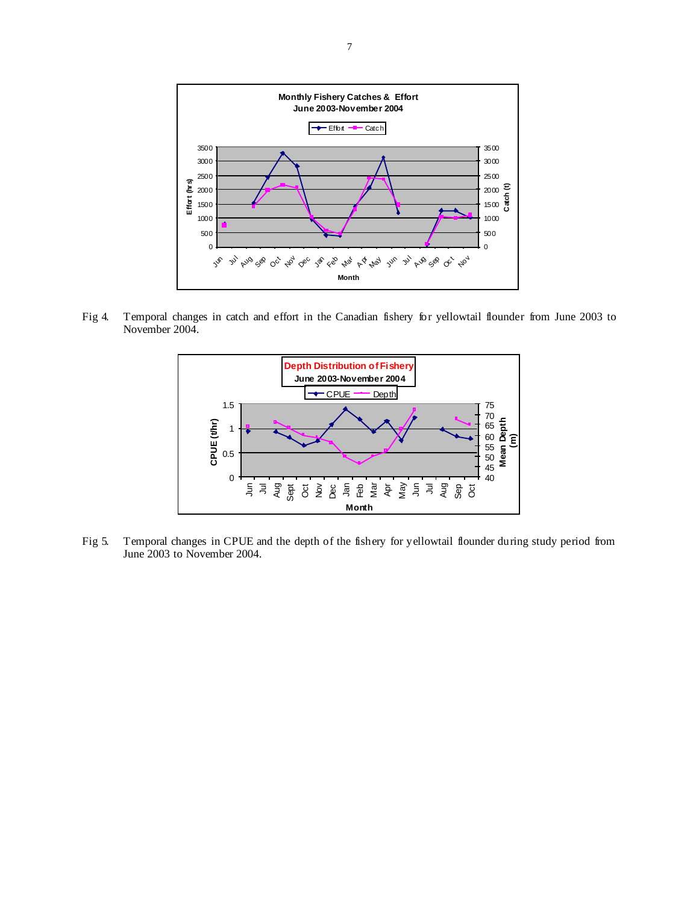

Fig 4. Temporal changes in catch and effort in the Canadian fishery for yellowtail flounder from June 2003 to November 2004.



Fig 5. Temporal changes in CPUE and the depth of the fishery for yellowtail flounder during study period from June 2003 to November 2004.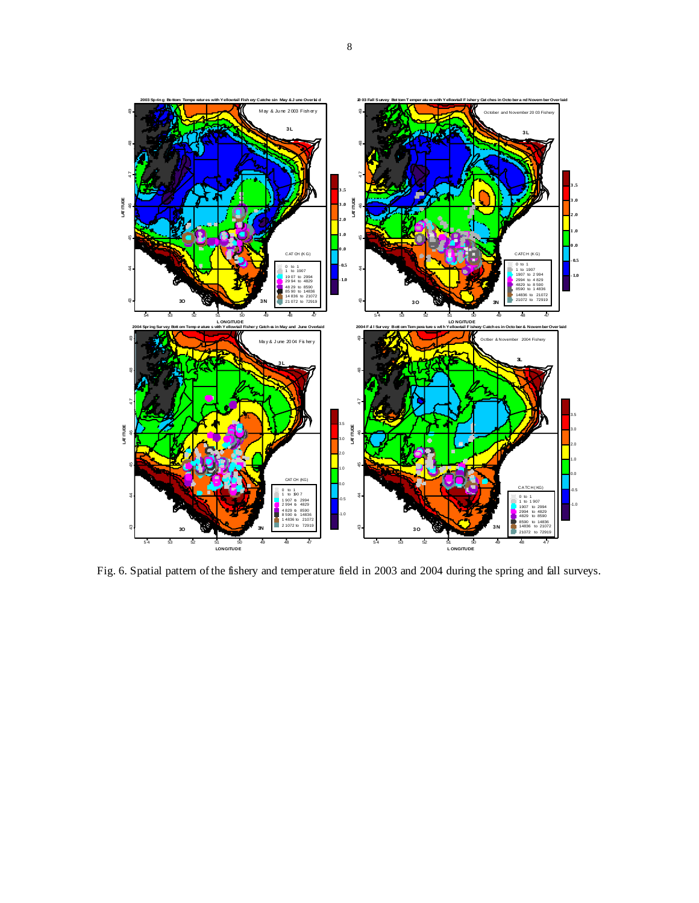

Fig. 6. Spatial pattern of the fishery and temperature field in 2003 and 2004 during the spring and fall surveys.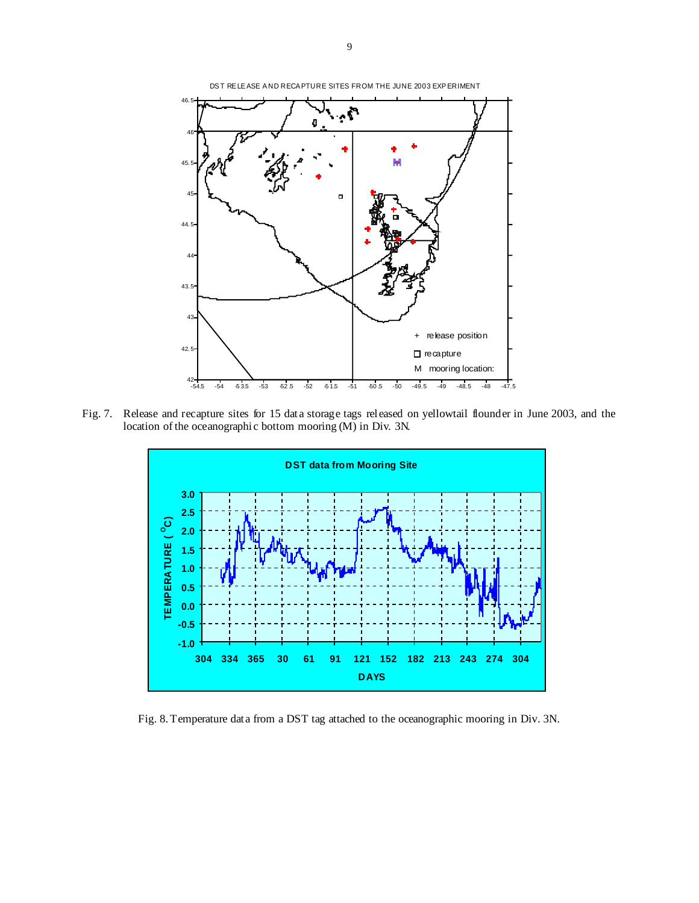

Fig. 7. Release and recapture sites for 15 data storage tags released on yellowtail flounder in June 2003, and the location of the oceanographic bottom mooring (M) in Div. 3N.



Fig. 8. Temperature data from a DST tag attached to the oceanographic mooring in Div. 3N.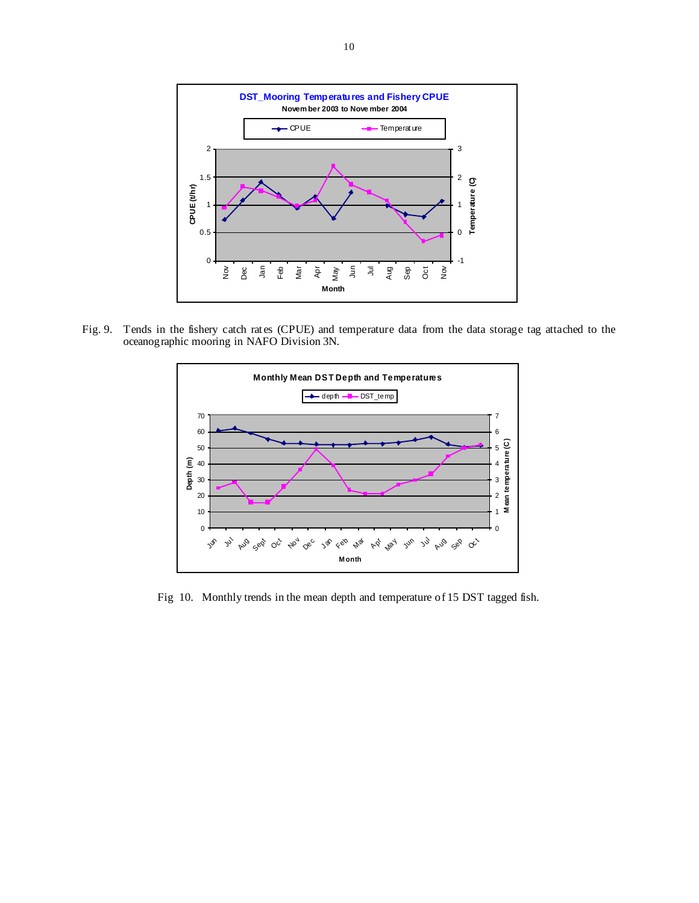

Fig. 9. Tends in the fishery catch rates (CPUE) and temperature data from the data storage tag attached to the oceanographic mooring in NAFO Division 3N.



Fig 10. Monthly trends in the mean depth and temperature of 15 DST tagged fish.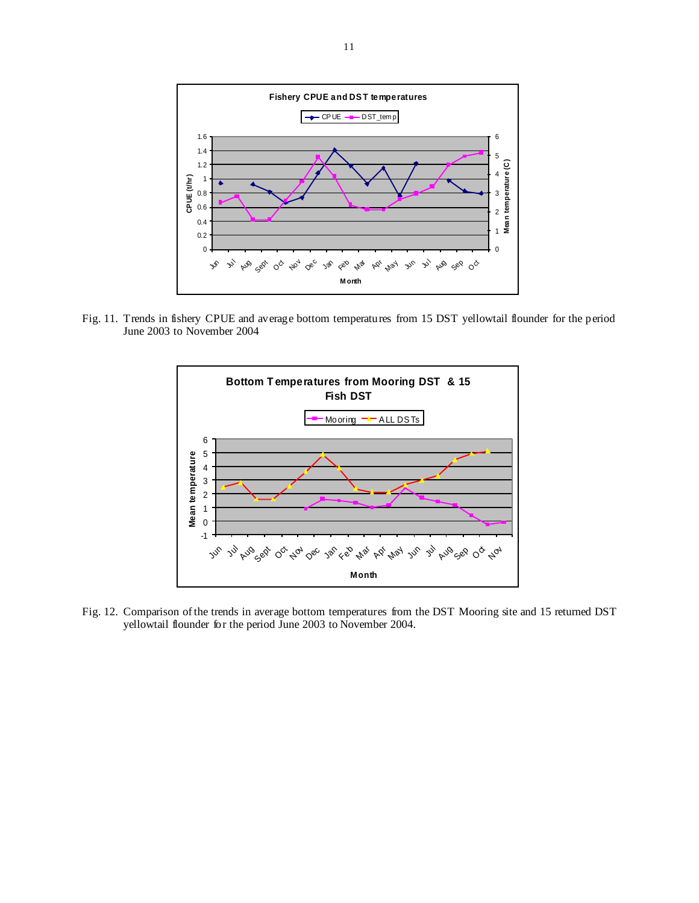

Fig. 11. Trends in fishery CPUE and average bottom temperatures from 15 DST yellowtail flounder for the period June 2003 to November 2004



Fig. 12. Comparison of the trends in average bottom temperatures from the DST Mooring site and 15 returned DST yellowtail flounder for the period June 2003 to November 2004.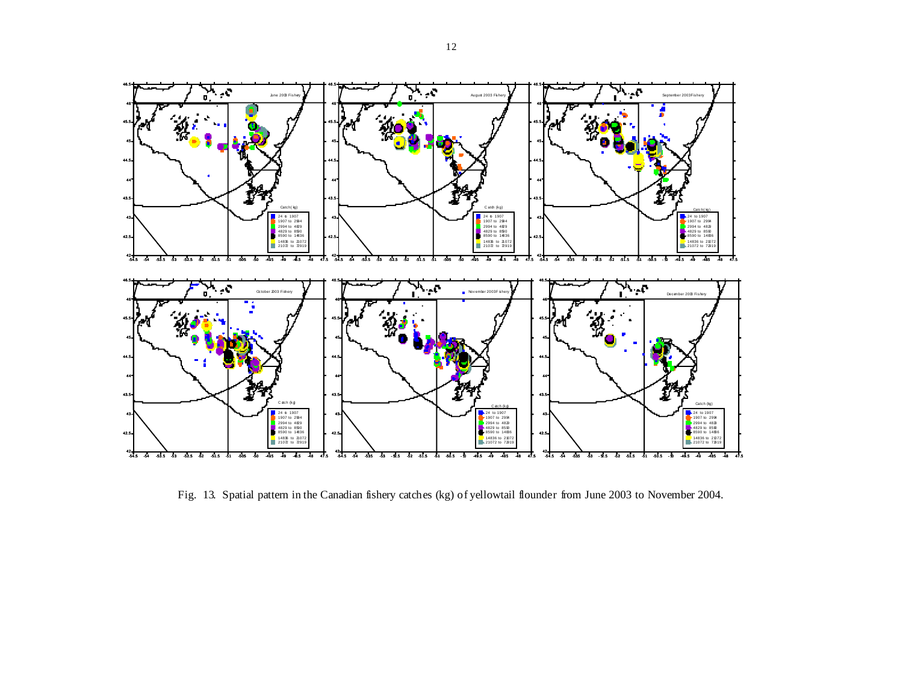

Fig. 13. Spatial pattern in the Canadian fishery catches (kg) of yellowtail flounder from June 2003 to November 2004.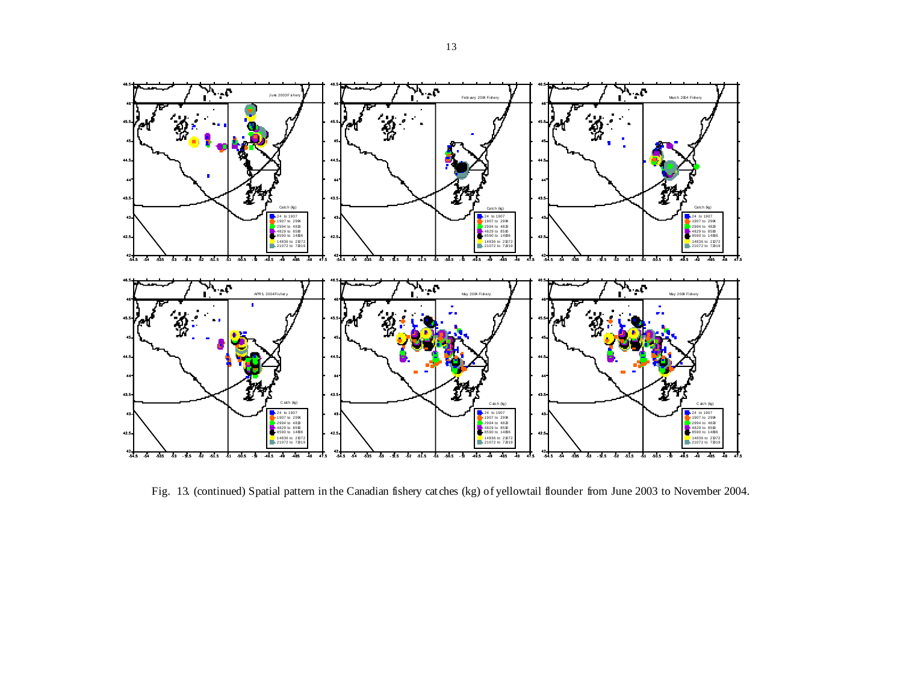

Fig. 13. (continued) Spatial pattern in the Canadian fishery catches (kg) of yellowtail flounder from June 2003 to November 2004.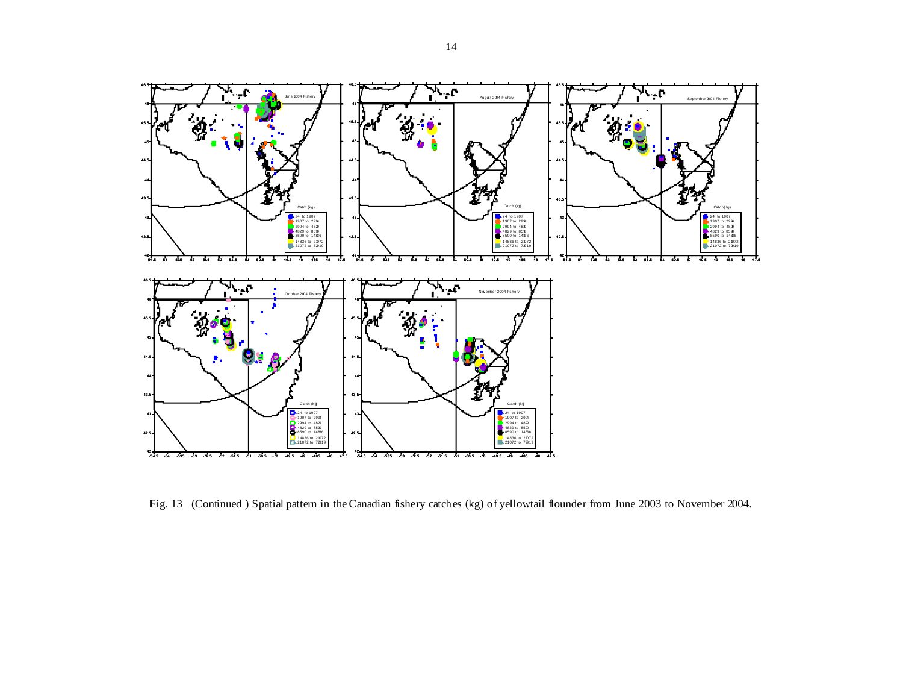

Fig. 13 (Continued ) Spatial pattern in the Canadian fishery catches (kg) of yellowtail flounder from June 2003 to November 2004.